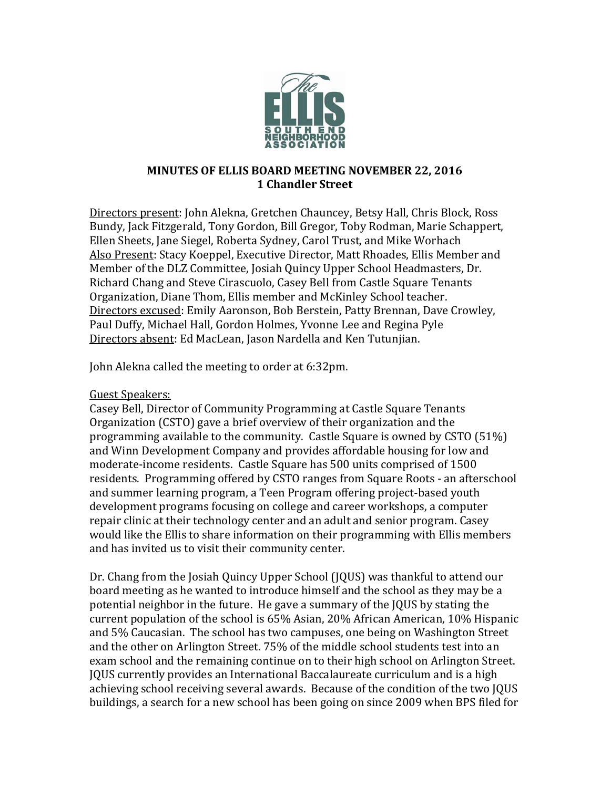

## **MINUTES OF ELLIS BOARD MEETING NOVEMBER 22, 2016 1 Chandler Street**

Directors present: John Alekna, Gretchen Chauncey, Betsy Hall, Chris Block, Ross Bundy, Jack Fitzgerald, Tony Gordon, Bill Gregor, Toby Rodman, Marie Schappert, Ellen Sheets, Jane Siegel, Roberta Sydney, Carol Trust, and Mike Worhach Also Present: Stacy Koeppel, Executive Director, Matt Rhoades, Ellis Member and Member of the DLZ Committee, Josiah Quincy Upper School Headmasters, Dr. Richard Chang and Steve Cirascuolo, Casey Bell from Castle Square Tenants Organization, Diane Thom, Ellis member and McKinley School teacher. Directors excused: Emily Aaronson, Bob Berstein, Patty Brennan, Dave Crowley, Paul Duffy, Michael Hall, Gordon Holmes, Yvonne Lee and Regina Pyle Directors absent: Ed MacLean, Jason Nardella and Ken Tutunjian.

John Alekna called the meeting to order at 6:32pm.

## Guest Speakers:

Casey Bell, Director of Community Programming at Castle Square Tenants Organization (CSTO) gave a brief overview of their organization and the programming available to the community. Castle Square is owned by CSTO (51%) and Winn Development Company and provides affordable housing for low and moderate-income residents. Castle Square has 500 units comprised of 1500 residents. Programming offered by CSTO ranges from Square Roots - an afterschool and summer learning program, a Teen Program offering project-based youth development programs focusing on college and career workshops, a computer repair clinic at their technology center and an adult and senior program. Casey would like the Ellis to share information on their programming with Ellis members and has invited us to visit their community center.

Dr. Chang from the Josiah Quincy Upper School (JQUS) was thankful to attend our board meeting as he wanted to introduce himself and the school as they may be a potential neighbor in the future. He gave a summary of the JQUS by stating the current population of the school is 65% Asian, 20% African American, 10% Hispanic and 5% Caucasian. The school has two campuses, one being on Washington Street and the other on Arlington Street. 75% of the middle school students test into an exam school and the remaining continue on to their high school on Arlington Street. JQUS currently provides an International Baccalaureate curriculum and is a high achieving school receiving several awards. Because of the condition of the two JQUS buildings, a search for a new school has been going on since 2009 when BPS filed for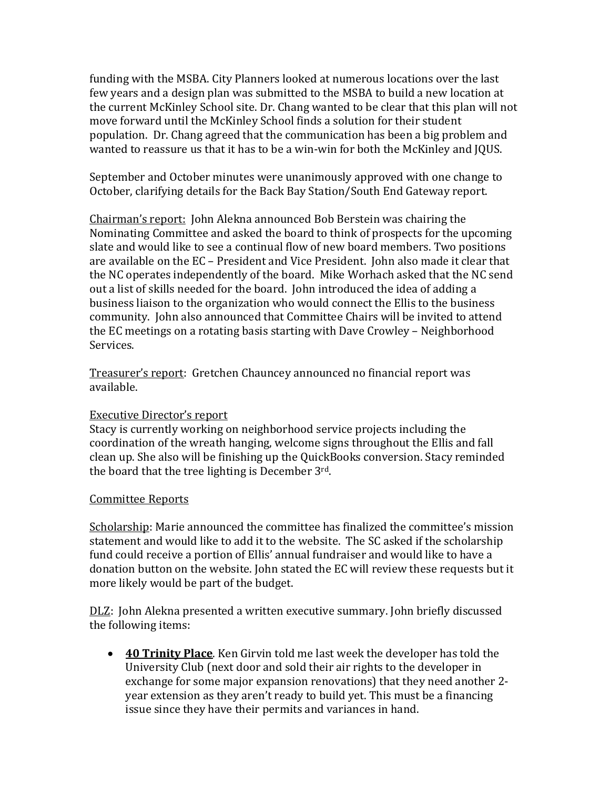funding with the MSBA. City Planners looked at numerous locations over the last few years and a design plan was submitted to the MSBA to build a new location at the current McKinley School site. Dr. Chang wanted to be clear that this plan will not move forward until the McKinley School finds a solution for their student population. Dr. Chang agreed that the communication has been a big problem and wanted to reassure us that it has to be a win-win for both the McKinley and JQUS.

September and October minutes were unanimously approved with one change to October, clarifying details for the Back Bay Station/South End Gateway report.

Chairman's report: John Alekna announced Bob Berstein was chairing the Nominating Committee and asked the board to think of prospects for the upcoming slate and would like to see a continual flow of new board members. Two positions are available on the EC – President and Vice President. John also made it clear that the NC operates independently of the board. Mike Worhach asked that the NC send out a list of skills needed for the board. John introduced the idea of adding a business liaison to the organization who would connect the Ellis to the business community. John also announced that Committee Chairs will be invited to attend the EC meetings on a rotating basis starting with Dave Crowley – Neighborhood Services.

Treasurer's report: Gretchen Chauncey announced no financial report was available.

## Executive Director's report

Stacy is currently working on neighborhood service projects including the coordination of the wreath hanging, welcome signs throughout the Ellis and fall clean up. She also will be finishing up the QuickBooks conversion. Stacy reminded the board that the tree lighting is December 3rd.

## Committee Reports

Scholarship: Marie announced the committee has finalized the committee's mission statement and would like to add it to the website. The SC asked if the scholarship fund could receive a portion of Ellis' annual fundraiser and would like to have a donation button on the website. John stated the EC will review these requests but it more likely would be part of the budget.

DLZ: John Alekna presented a written executive summary. John briefly discussed the following items:

• **40 Trinity Place**. Ken Girvin told me last week the developer has told the University Club (next door and sold their air rights to the developer in exchange for some major expansion renovations) that they need another 2 year extension as they aren't ready to build yet. This must be a financing issue since they have their permits and variances in hand.